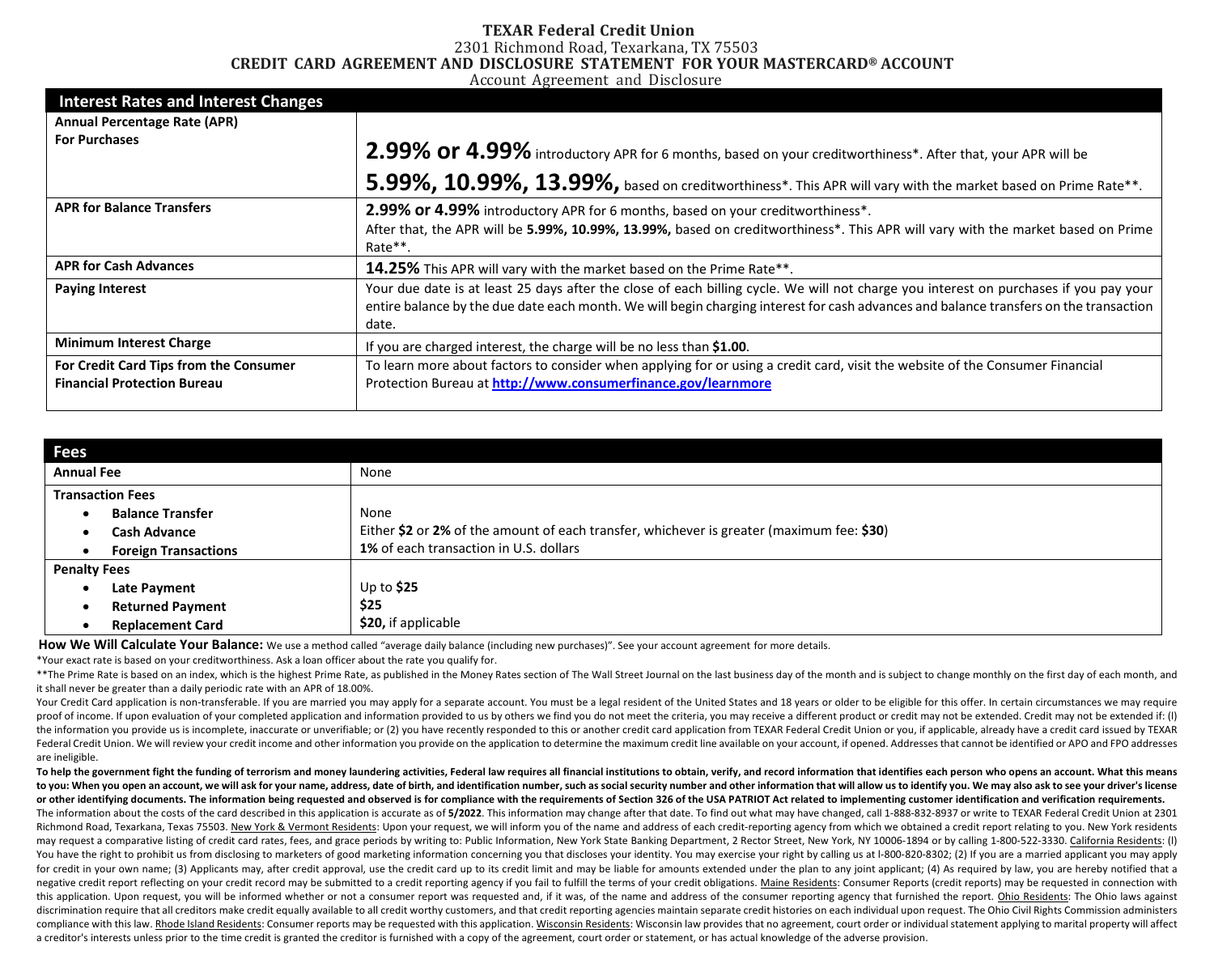#### **TEXAR Federal Credit Union** 2301 Richmond Road, Texarkana, TX 75503 **CREDIT CARD AGREEMENT AND DISCLOSURE STATEMENT FOR YOUR MASTERCARD® ACCOUNT**

Account Agreement and Disclosure

| <b>Interest Rates and Interest Changes</b>                                   |                                                                                                                                                                                                                                                                                         |  |  |
|------------------------------------------------------------------------------|-----------------------------------------------------------------------------------------------------------------------------------------------------------------------------------------------------------------------------------------------------------------------------------------|--|--|
| <b>Annual Percentage Rate (APR)</b>                                          |                                                                                                                                                                                                                                                                                         |  |  |
| <b>For Purchases</b>                                                         | 2.99% or 4.99% introductory APR for 6 months, based on your creditworthiness*. After that, your APR will be                                                                                                                                                                             |  |  |
|                                                                              | 5.99%, 10.99%, 13.99%, based on creditworthiness*. This APR will vary with the market based on Prime Rate**.                                                                                                                                                                            |  |  |
| <b>APR for Balance Transfers</b>                                             | 2.99% or 4.99% introductory APR for 6 months, based on your creditworthiness*.                                                                                                                                                                                                          |  |  |
|                                                                              | After that, the APR will be 5.99%, 10.99%, 13.99%, based on creditworthiness*. This APR will vary with the market based on Prime<br>Rate**.                                                                                                                                             |  |  |
| <b>APR for Cash Advances</b>                                                 | 14.25% This APR will vary with the market based on the Prime Rate**.                                                                                                                                                                                                                    |  |  |
| <b>Paying Interest</b>                                                       | Your due date is at least 25 days after the close of each billing cycle. We will not charge you interest on purchases if you pay your<br>entire balance by the due date each month. We will begin charging interest for cash advances and balance transfers on the transaction<br>date. |  |  |
| <b>Minimum Interest Charge</b>                                               | If you are charged interest, the charge will be no less than \$1.00.                                                                                                                                                                                                                    |  |  |
| For Credit Card Tips from the Consumer<br><b>Financial Protection Bureau</b> | To learn more about factors to consider when applying for or using a credit card, visit the website of the Consumer Financial<br>Protection Bureau at http://www.consumerfinance.gov/learnmore                                                                                          |  |  |
|                                                                              |                                                                                                                                                                                                                                                                                         |  |  |

| <b>Fees</b>         |                             |                                                                                           |
|---------------------|-----------------------------|-------------------------------------------------------------------------------------------|
| <b>Annual Fee</b>   |                             | None                                                                                      |
|                     | <b>Transaction Fees</b>     |                                                                                           |
|                     | <b>Balance Transfer</b>     | None                                                                                      |
|                     | <b>Cash Advance</b>         | Either \$2 or 2% of the amount of each transfer, whichever is greater (maximum fee: \$30) |
|                     | <b>Foreign Transactions</b> | 1% of each transaction in U.S. dollars                                                    |
| <b>Penalty Fees</b> |                             |                                                                                           |
| $\bullet$           | Late Payment                | Up to $$25$                                                                               |
|                     | <b>Returned Payment</b>     | \$25                                                                                      |
|                     | <b>Replacement Card</b>     | \$20, if applicable                                                                       |

How We Will Calculate Your Balance: We use a method called "average daily balance (including new purchases)". See your account agreement for more details.

\*Your exact rate is based on your creditworthiness. Ask a loan officer about the rate you qualify for.

\*\*The Prime Rate is based on an index, which is the highest Prime Rate, as published in the Money Rates section of The Wall Street Journal on the last business day of the month and is subject to change monthly on the first it shall never be greater than a daily periodic rate with an APR of 18.00%.

Your Credit Card application is non-transferable. If you are married you may apply for a separate account. You must be a legal resident of the United States and 18 years or older to be eligible for this offer. In certain c proof of income. If upon evaluation of your completed application and information provided to us by others we find you do not meet the criteria, you may receive a different product or credit may not be extended. Credit may the information you provide us is incomplete, inaccurate or unverifiable; or (2) you have recently responded to this or another credit card application from TEXAR Federal Credit Union or you, if applicable, already have a Federal Credit Union. We will review your credit income and other information you provide on the application to determine the maximum credit line available on your account, if opened. Addresses that cannot be identified or are ineligible.

To help the government fight the funding of terrorism and money laundering activities, Federal law requires all financial institutions to obtain, verify, and record information that identifies each person who opens an acco to you: When you open an account, we will ask for your name, address, date of birth, and identification number, such as social security number and other information that will allow us to identify you. We may also ask to se or other identifying documents. The information being requested and observed is for compliance with the requirements of Section 326 of the USA PATRIOT Act related to implementing customer identification and verification re

The information about the costs of the card described in this application is accurate as of 5/2022. This information may change after that date. To find out what may have changed, call 1-888-832-8937 or write to TEXAR Fede Richmond Road, Texarkana, Texas 75503. New York & Vermont Residents: Upon your request, we will inform you of the name and address of each credit-reporting agency from which we obtained a credit report relating to you. New may request a comparative listing of credit card rates, fees, and grace periods by writing to: Public Information, New York State Banking Department, 2 Rector Street, New York, NY 10006-1894 or by calling 1-800-522-3330. C You have the right to prohibit us from disclosing to marketers of good marketing information concerning you that discloses your identity. You may exercise your right by calling us at 1-800-820-8302; (2) If you are a marrie for credit in your own name: (3) Applicants may, after credit approval, use the credit card up to its credit limit and may be liable for amounts extended under the plan to any ioint applicant: (4) As required by law, you a negative credit report reflecting on your credit record may be submitted to a credit reporting agency if you fail to fulfill the terms of your credit obligations. Maine Residents: Consumer Reports (credit reports) may be r this application. Upon request, you will be informed whether or not a consumer report was requested and, if it was, of the name and address of the consumer reporting agency that furnished the report. Ohio Residents: The Oh discrimination require that all creditors make credit equally available to all credit worthy customers, and that credit reporting agencies maintain separate credit histories on each individual upon request. The Ohio Civil compliance with this law. Rhode Island Residents: Consumer reports may be requested with this application. Wisconsin Residents: Wisconsin law provides that no agreement, court order or individual statement applying to mari a creditor's interests unless prior to the time credit is granted the creditor is furnished with a copy of the agreement, court order or statement, or has actual knowledge of the adverse provision.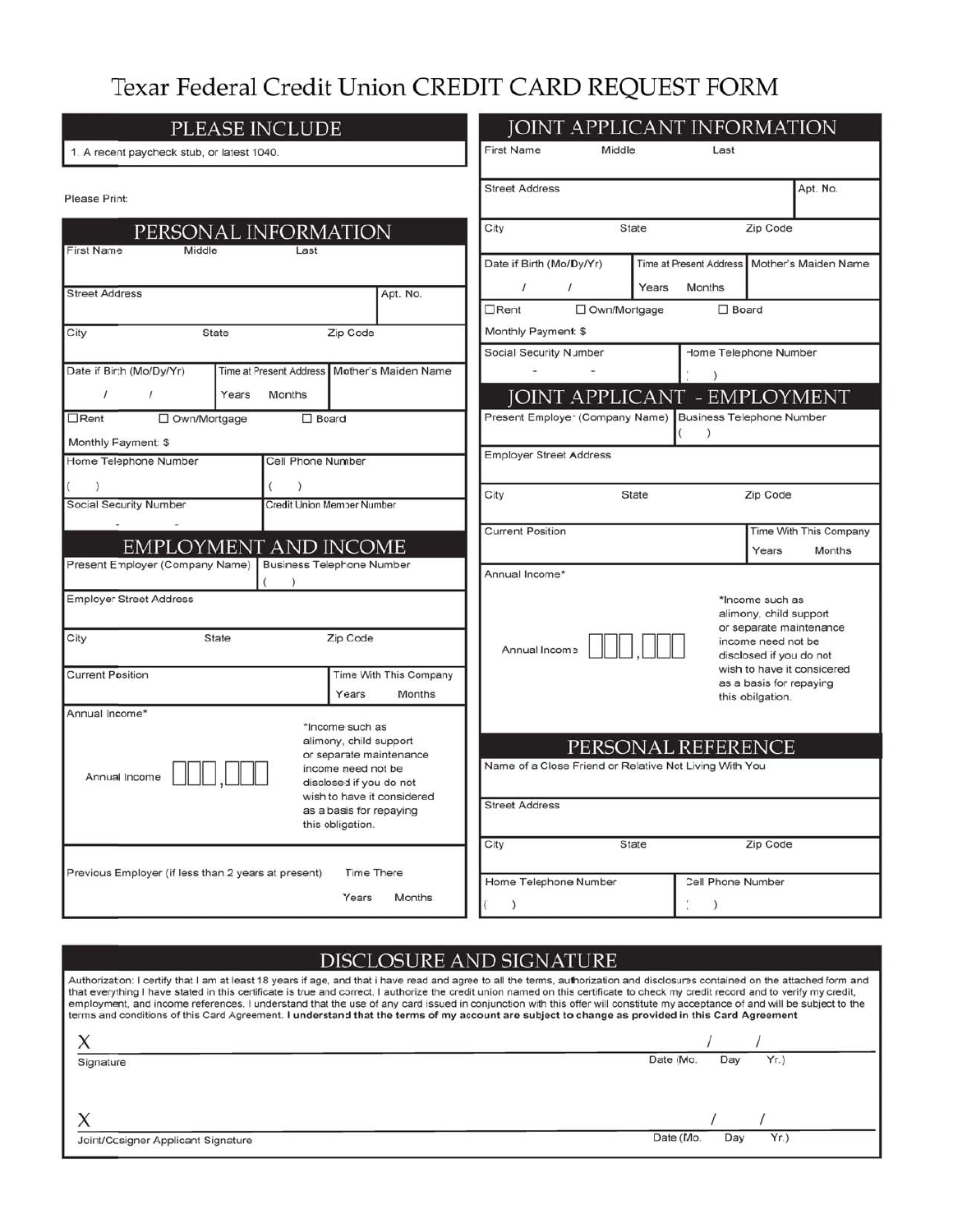# Texar Federal Credit Union CREDIT CARD REQUEST FORM

| PLEASE INCLUDE                                                             | <b>JOINT APPLICANT INFORMATION</b> |                                                                                                                       |                                                              |                                                        |       |                                               |                                                                 |                                                |
|----------------------------------------------------------------------------|------------------------------------|-----------------------------------------------------------------------------------------------------------------------|--------------------------------------------------------------|--------------------------------------------------------|-------|-----------------------------------------------|-----------------------------------------------------------------|------------------------------------------------|
| 1. A recent paycheck stub, or latest 1040.                                 |                                    |                                                                                                                       | <b>First Name</b>                                            | Middle                                                 |       | Last                                          |                                                                 |                                                |
| Please Print:                                                              | <b>Street Address</b>              |                                                                                                                       |                                                              |                                                        |       | Apt. No.                                      |                                                                 |                                                |
|                                                                            | PERSONAL INFORMATION               |                                                                                                                       | City                                                         |                                                        | State |                                               | Zip Code                                                        |                                                |
| <b>First Name</b><br>Middle<br><b>Street Address</b>                       | Last                               | Apt. No.                                                                                                              | Date if Birth (Mo/Dy/Yr)<br>$\prime$                         | $\prime$                                               | Years | Months                                        |                                                                 | Time at Present Address   Mother's Maiden Name |
|                                                                            |                                    |                                                                                                                       | $\Box$ Rent                                                  | □ Own/Mortgage                                         |       | $\square$ Board                               |                                                                 |                                                |
| City                                                                       | <b>State</b>                       | Zip Code                                                                                                              | Monthly Payment: \$                                          |                                                        |       |                                               |                                                                 |                                                |
| Date if Birth (Mo/Dy/Yr)<br>Time at Present Address   Mother's Maiden Name |                                    |                                                                                                                       | Home Telephone Number<br>Social Security Number<br>$\lambda$ |                                                        |       |                                               |                                                                 |                                                |
| $\prime$<br>$\prime$                                                       | Years<br>Months                    |                                                                                                                       |                                                              | <b>JOINT APPLICANT - EMPLOYMENT</b>                    |       |                                               |                                                                 |                                                |
| $\Box$ Rent<br>□ Own/Mortgage<br>$\square$ Board                           |                                    |                                                                                                                       |                                                              | Present Employer (Company Name)                        |       | <b>Business Telephone Number</b><br>$\lambda$ |                                                                 |                                                |
| Monthly Payment: \$                                                        |                                    |                                                                                                                       | <b>Employer Street Address</b>                               |                                                        |       |                                               |                                                                 |                                                |
| Home Telephone Number                                                      | Cell Phone Number                  |                                                                                                                       |                                                              |                                                        |       |                                               |                                                                 |                                                |
| $\lambda$<br>C                                                             | $\lambda$                          |                                                                                                                       | City                                                         |                                                        | State |                                               | Zip Code                                                        |                                                |
| <b>Social Security Number</b>                                              |                                    | Credit Union Member Number                                                                                            |                                                              |                                                        |       |                                               |                                                                 |                                                |
|                                                                            | <b>EMPLOYMENT AND INCOME</b>       |                                                                                                                       | <b>Current Position</b>                                      |                                                        |       |                                               | Years                                                           | Time With This Company<br>Months               |
| Present Employer (Company Name)   Business Telephone Number                |                                    |                                                                                                                       | Annual Income*                                               |                                                        |       |                                               |                                                                 |                                                |
| <b>Employer Street Address</b><br>City                                     | <b>State</b>                       | Zip Code                                                                                                              | Annual Income                                                |                                                        |       |                                               | *Income such as<br>alimony, child support<br>income need not be | or separate maintenance                        |
|                                                                            |                                    |                                                                                                                       |                                                              |                                                        |       |                                               | disclosed if you do not                                         | wish to have it considered                     |
| <b>Current Position</b>                                                    |                                    | Time With This Company<br>Years<br>Months                                                                             |                                                              |                                                        |       |                                               | as a basis for repaying                                         |                                                |
| Annual Income*                                                             |                                    |                                                                                                                       |                                                              |                                                        |       |                                               | this obilgation.                                                |                                                |
| Annual Income                                                              |                                    | *Income such as<br>alimony, child support<br>or separate maintenance<br>income need not be<br>disclosed if you do not |                                                              | Name of a Close Friend or Relative Not Living With You |       | PERSONAL REFERENCE                            |                                                                 |                                                |
|                                                                            |                                    | wish to have it considered<br>as a basis for repaying<br>this obligation.                                             | <b>Street Address</b>                                        |                                                        |       |                                               |                                                                 |                                                |
|                                                                            |                                    | <b>Time There</b>                                                                                                     | City                                                         |                                                        | State |                                               | Zip Code                                                        |                                                |
| Previous Employer (if less than 2 years at present)                        |                                    | Home Telephone Number                                                                                                 |                                                              | Cell Phone Number                                      |       |                                               |                                                                 |                                                |
|                                                                            |                                    | Years<br>Months                                                                                                       | $\lambda$                                                    |                                                        |       | $\left( \right)$                              |                                                                 |                                                |

# DISCLOSURE AND SIGNATURE

Authorization: I certify that I am at least 18 years if age, and that i have read and agree to all the terms, authorization and disclosures contained on the attached form and that everything I have stated in this certificate is true and correct. I authorize the credit union named on this certificate to check my credit record and to verify my credit, employment, and income references. I understa

| Signature                          | Date (Mo.<br>Yr.<br>Day |
|------------------------------------|-------------------------|
|                                    |                         |
| $\Lambda$                          |                         |
| Joint/Cosigner Applicant Signature | Date (Mo.<br>Yr.<br>Day |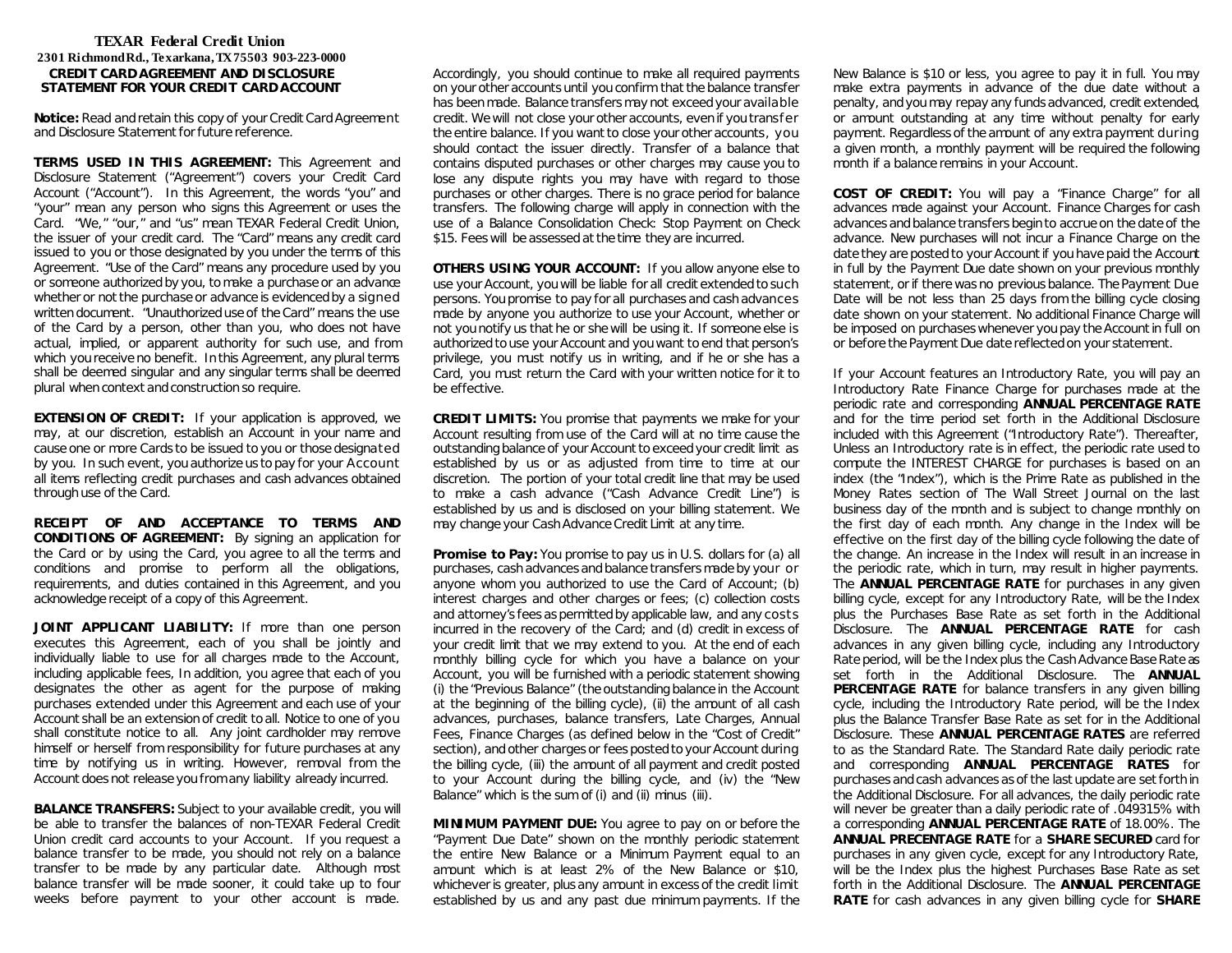# **TEXAR Federal Credit Union 2301 Richmond Rd., Texarkana, TX 75503 903-223-0000 CREDIT CARD AGREEMENT AND DISCLOSURE STATEMENT FOR YOUR CREDIT CARD ACCOUNT**

**Notice:** Read and retain this copy of your Credit Card Agreement and Disclosure Statement for future reference.

**TERMS USED IN THIS AGREEMENT:** This Agreement and Disclosure Statement ("Agreement") covers your Credit Card Account ("Account"). In this Agreement, the words "you" and "your" mean any person who signs this Agreement or uses the Card. "We," "our," and "us" mean TEXAR Federal Credit Union, the issuer of your credit card. The "Card" means any credit card issued to you or those designated by you under the terms of this Agreement. "Use of the Card" means any procedure used by you or someone authorized by you, to make a purchase or an advance whether or not the purchase or advance is evidenced by a signed written document. "Unauthorized use of the Card" means the use of the Card by a person, other than you, who does not have actual, implied, or apparent authority for such use, and from which you receive no benefit. In this Agreement, any plural terms shall be deemed singular and any singular terms shall be deemed plural when context and construction so require.

**EXTENSION OF CREDIT:** If your application is approved, we may, at our discretion, establish an Account in your name and cause one or more Cards to be issued to you or those designated by you. In such event, you authorize us to pay for your Account all items reflecting credit purchases and cash advances obtained through use of the Card.

**RECEIPT OF AND ACCEPTANCE TO TERMS AND CONDITIONS OF AGREEMENT:** By signing an application for the Card or by using the Card, you agree to all the terms and conditions and promise to perform all the obligations, requirements, and duties contained in this Agreement, and you acknowledge receipt of a copy of this Agreement.

**JOINT APPLICANT LIABILITY:** If more than one person executes this Agreement, each of you shall be jointly and individually liable to use for all charges made to the Account, including applicable fees, In addition, you agree that each of you designates the other as agent for the purpose of making purchases extended under this Agreement and each use of your Account shall be an extension of credit to all. Notice to one of you shall constitute notice to all. Any joint cardholder may remove himself or herself from responsibility for future purchases at any time by notifying us in writing. However, removal from the Account does not release you from any liability already incurred.

**BALANCE TRANSFERS:** Subject to your available credit, you will be able to transfer the balances of non-TEXAR Federal Credit Union credit card accounts to your Account. If you request a balance transfer to be made, you should not rely on a balance transfer to be made by any particular date. Although most balance transfer will be made sooner, it could take up to four weeks before payment to your other account is made. Accordingly, you should continue to make all required payments on your other accounts until you confirm that the balance transfer has been made. Balance transfers may not exceed your available credit. We will not close your other accounts, even if you transfer the entire balance. If you want to close your other accounts, you should contact the issuer directly. Transfer of a balance that contains disputed purchases or other charges may cause you to lose any dispute rights you may have with regard to those purchases or other charges. There is no grace period for balance transfers. The following charge will apply in connection with the use of a Balance Consolidation Check: Stop Payment on Check \$15. Fees will be assessed at the time they are incurred.

**OTHERS USING YOUR ACCOUNT:** If you allow anyone else to use your Account, you will be liable for all credit extended to such persons. You promise to pay for all purchases and cash advances made by anyone you authorize to use your Account, whether or not you notify us that he or she will be using it. If someone else is authorized to use your Account and you want to end that person's privilege, you must notify us in writing, and if he or she has a Card, you must return the Card with your written notice for it to be effective.

**CREDIT LIMITS:** You promise that payments we make for your Account resulting from use of the Card will at no time cause the outstanding balance of your Account to exceed your credit limit as established by us or as adjusted from time to time at our discretion. The portion of your total credit line that may be used to make a cash advance ("Cash Advance Credit Line") is established by us and is disclosed on your billing statement. We may change your Cash Advance Credit Limit at any time.

**Promise to Pay:** You promise to pay us in U.S. dollars for (a) all purchases, cash advances and balance transfers made by your or anyone whom you authorized to use the Card of Account; (b) interest charges and other charges or fees; (c) collection costs and attorney's fees as permitted by applicable law, and any costs incurred in the recovery of the Card; and (d) credit in excess of your credit limit that we may extend to you. At the end of each monthly billing cycle for which you have a balance on your Account, you will be furnished with a periodic statement showing (i) the "Previous Balance" (the outstanding balance in the Account at the beginning of the billing cycle), (ii) the amount of all cash advances, purchases, balance transfers, Late Charges, Annual Fees, Finance Charges (as defined below in the "Cost of Credit" section), and other charges or fees posted to your Account during the billing cycle, (iii) the amount of all payment and credit posted to your Account during the billing cycle, and (iv) the "New Balance" which is the sum of (i) and (ii) minus (iii).

**MINIMUM PAYMENT DUE:** You agree to pay on or before the "Payment Due Date" shown on the monthly periodic statement the entire New Balance or a Minimum Payment equal to an amount which is at least 2% of the New Balance or \$10, whichever is greater, plus any amount in excess of the credit limit established by us and any past due minimum payments. If the New Balance is \$10 or less, you agree to pay it in full. You may make extra payments in advance of the due date without a penalty, and you may repay any funds advanced, credit extended, or amount outstanding at any time without penalty for early payment. Regardless of the amount of any extra payment during a given month, a monthly payment will be required the following month if a balance remains in your Account.

**COST OF CREDIT:** You will pay a "Finance Charge" for all advances made against your Account. Finance Charges for cash advances and balance transfers begin to accrue on the date of the advance. New purchases will not incur a Finance Charge on the date they are posted to your Account if you have paid the Account in full by the Payment Due date shown on your previous monthly statement, or if there was no previous balance. The Payment Due Date will be not less than 25 days from the billing cycle closing date shown on your statement. No additional Finance Charge will be imposed on purchases whenever you pay the Account in full on or before the Payment Due date reflected on your statement.

If your Account features an Introductory Rate, you will pay an Introductory Rate Finance Charge for purchases made at the periodic rate and corresponding **ANNUAL PERCENTAGE RATE** and for the time period set forth in the Additional Disclosure included with this Agreement ("Introductory Rate"). Thereafter, Unless an Introductory rate is in effect, the periodic rate used to compute the INTEREST CHARGE for purchases is based on an index (the "Index"), which is the Prime Rate as published in the Money Rates section of The Wall Street Journal on the last business day of the month and is subject to change monthly on the first day of each month. Any change in the Index will be effective on the first day of the billing cycle following the date of the change. An increase in the Index will result in an increase in the periodic rate, which in turn, may result in higher payments. The **ANNUAL PERCENTAGE RATE** for purchases in any given billing cycle, except for any Introductory Rate, will be the Index plus the Purchases Base Rate as set forth in the Additional Disclosure. The **ANNUAL PERCENTAGE RATE** for cash advances in any given billing cycle, including any Introductory Rate period, will be the Index plus the Cash Advance Base Rate as set forth in the Additional Disclosure. The **ANNUAL PERCENTAGE RATE** for balance transfers in any given billing cycle, including the Introductory Rate period, will be the Index plus the Balance Transfer Base Rate as set for in the Additional Disclosure. These **ANNUAL PERCENTAGE RATES** are referred to as the Standard Rate. The Standard Rate daily periodic rate and corresponding **ANNUAL PERCENTAGE RATES** for purchases and cash advances as of the last update are set forth in the Additional Disclosure. For all advances, the daily periodic rate will never be greater than a daily periodic rate of .049315% with a corresponding **ANNUAL PERCENTAGE RATE** of 18.00%. The **ANNUAL PRECENTAGE RATE** for a **SHARE SECURED** card for purchases in any given cycle, except for any Introductory Rate, will be the Index plus the highest Purchases Base Rate as set forth in the Additional Disclosure. The **ANNUAL PERCENTAGE RATE** for cash advances in any given billing cycle for **SHARE**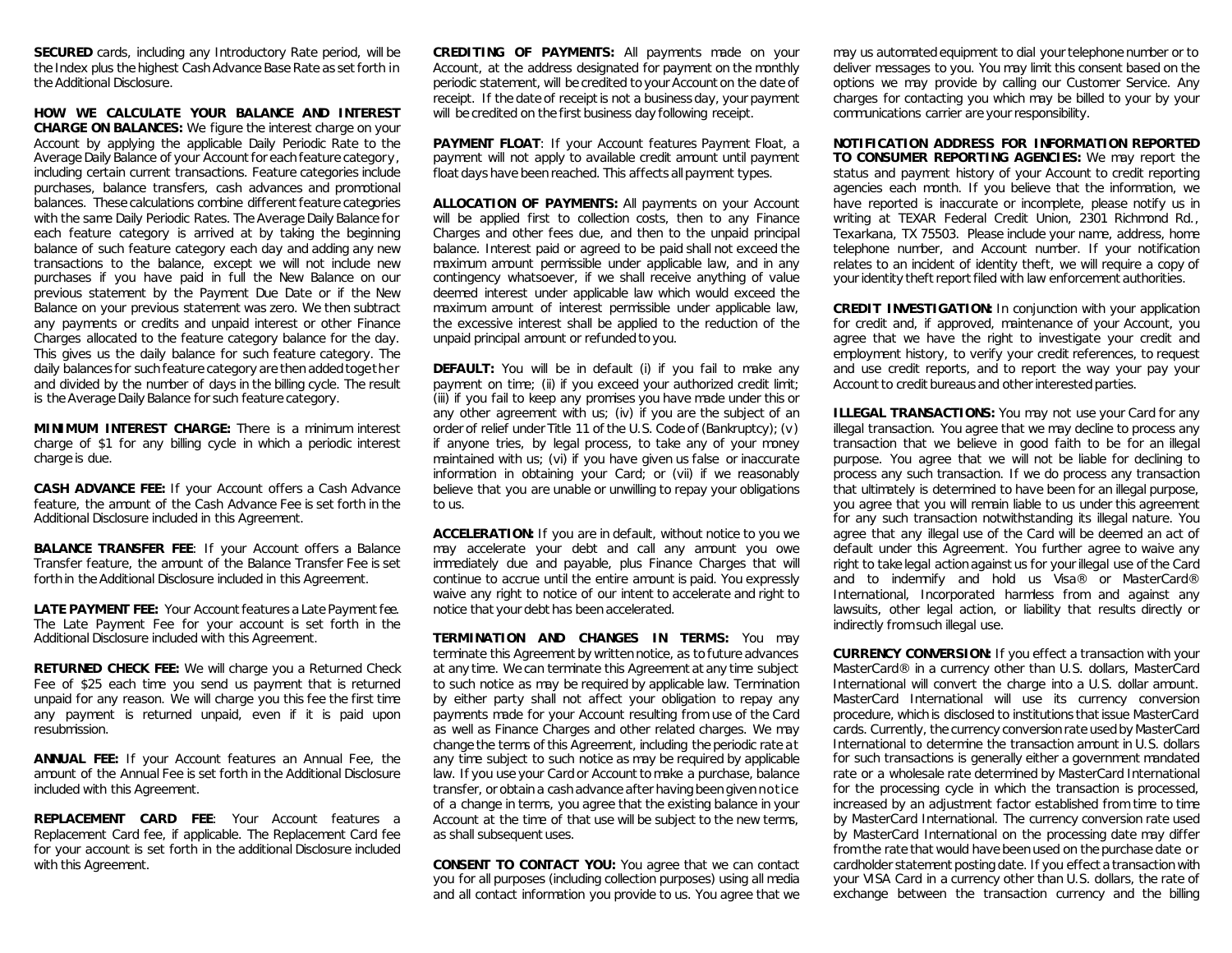**SECURED** cards, including any Introductory Rate period, will be the Index plus the highest Cash Advance Base Rate as set forth in the Additional Disclosure.

**HOW WE CALCULATE YOUR BALANCE AND INTEREST CHARGE ON BALANCES:** We figure the interest charge on your Account by applying the applicable Daily Periodic Rate to the Average Daily Balance of your Account for each feature category, including certain current transactions. Feature categories include purchases, balance transfers, cash advances and promotional balances. These calculations combine different feature categories with the same Daily Periodic Rates. The Average Daily Balance for each feature category is arrived at by taking the beginning balance of such feature category each day and adding any new transactions to the balance, except we will not include new purchases if you have paid in full the New Balance on our previous statement by the Payment Due Date or if the New Balance on your previous statement was zero. We then subtract any payments or credits and unpaid interest or other Finance Charges allocated to the feature category balance for the day. This gives us the daily balance for such feature category. The daily balances for such feature category are then added together and divided by the number of days in the billing cycle. The result is the Average Daily Balance for such feature category.

**MINIMUM INTEREST CHARGE:** There is a minimum interest charge of \$1 for any billing cycle in which a periodic interest charge is due.

**CASH ADVANCE FEE:** If your Account offers a Cash Advance feature, the amount of the Cash Advance Fee is set forth in the Additional Disclosure included in this Agreement.

**BALANCE TRANSFER FEE:** If your Account offers a Balance Transfer feature, the amount of the Balance Transfer Fee is set forth in the Additional Disclosure included in this Agreement.

**LATE PAYMENT FEE:** Your Account features a Late Payment fee. The Late Payment Fee for your account is set forth in the Additional Disclosure included with this Agreement.

**RETURNED CHECK FEE:** We will charge you a Returned Check Fee of \$25 each time you send us payment that is returned unpaid for any reason. We will charge you this fee the first time any payment is returned unpaid, even if it is paid upon resubmission.

**ANNUAL FEE:** If your Account features an Annual Fee, the amount of the Annual Fee is set forth in the Additional Disclosure included with this Agreement.

**REPLACEMENT CARD FEE**: Your Account features a Replacement Card fee, if applicable. The Replacement Card fee for your account is set forth in the additional Disclosure included with this Agreement.

**CREDITING OF PAYMENTS:** All payments made on your Account, at the address designated for payment on the monthly periodic statement, will be credited to your Account on the date of receipt. If the date of receipt is not a business day, your payment will be credited on the first business day following receipt.

PAYMENT FLOAT: If your Account features Payment Float, a payment will not apply to available credit amount until payment float days have been reached. This affects all payment types.

**ALLOCATION OF PAYMENTS:** All payments on your Account will be applied first to collection costs, then to any Finance Charges and other fees due, and then to the unpaid principal balance. Interest paid or agreed to be paid shall not exceed the maximum amount permissible under applicable law, and in any contingency whatsoever, if we shall receive anything of value deemed interest under applicable law which would exceed the maximum amount of interest permissible under applicable law, the excessive interest shall be applied to the reduction of the unpaid principal amount or refunded to you.

**DEFAULT:** You will be in default (i) if you fail to make any payment on time; (ii) if you exceed your authorized credit limit; (iii) if you fail to keep any promises you have made under this or any other agreement with us; (iv) if you are the subject of an order of relief under Title 11 of the U.S. Code of (Bankruptcy); (v) if anyone tries, by legal process, to take any of your money maintained with us; (vi) if you have given us false or inaccurate information in obtaining your Card; or (vii) if we reasonably believe that you are unable or unwilling to repay your obligations to us.

**ACCELERATION:** If you are in default, without notice to you we may accelerate your debt and call any amount you owe immediately due and payable, plus Finance Charges that will continue to accrue until the entire amount is paid. You expressly waive any right to notice of our intent to accelerate and right to notice that your debt has been accelerated.

**TERMINATION AND CHANGES IN TERMS:** You may terminate this Agreement by written notice, as to future advances at any time. We can terminate this Agreement at any time subject to such notice as may be required by applicable law. Termination by either party shall not affect your obligation to repay any payments made for your Account resulting from use of the Card as well as Finance Charges and other related charges. We may change the terms of this Agreement, including the periodic rate at any time subject to such notice as may be required by applicable law. If you use your Card or Account to make a purchase, balance transfer, or obtain a cash advance after having been given notice of a change in terms, you agree that the existing balance in your Account at the time of that use will be subject to the new terms, as shall subsequent uses.

**CONSENT TO CONTACT YOU:** You agree that we can contact you for all purposes (including collection purposes) using all media and all contact information you provide to us. You agree that we may us automated equipment to dial your telephone number or to deliver messages to you. You may limit this consent based on the options we may provide by calling our Customer Service. Any charges for contacting you which may be billed to your by your communications carrier are your responsibility.

**NOTIFICATION ADDRESS FOR INFORMATION REPORTED TO CONSUMER REPORTING AGENCIES:** We may report the status and payment history of your Account to credit reporting agencies each month. If you believe that the information, we have reported is inaccurate or incomplete, please notify us in writing at TEXAR Federal Credit Union, 2301 Richmond Rd., Texarkana, TX 75503. Please include your name, address, home telephone number, and Account number. If your notification relates to an incident of identity theft, we will require a copy of your identity theft report filed with law enforcement authorities.

**CREDIT INVESTIGATION:** In conjunction with your application for credit and, if approved, maintenance of your Account, you agree that we have the right to investigate your credit and employment history, to verify your credit references, to request and use credit reports, and to report the way your pay your Account to credit bureaus and other interested parties.

**ILLEGAL TRANSACTIONS:** You may not use your Card for any illegal transaction. You agree that we may decline to process any transaction that we believe in good faith to be for an illegal purpose. You agree that we will not be liable for declining to process any such transaction. If we do process any transaction that ultimately is determined to have been for an illegal purpose, you agree that you will remain liable to us under this agreement for any such transaction notwithstanding its illegal nature. You agree that any illegal use of the Card will be deemed an act of default under this Agreement. You further agree to waive any right to take legal action against us for your illegal use of the Card and to indemnify and hold us Visa® or MasterCard® International, Incorporated harmless from and against any lawsuits, other legal action, or liability that results directly or indirectly from such illegal use.

**CURRENCY CONVERSION:** If you effect a transaction with your MasterCard® in a currency other than U.S. dollars, MasterCard International will convert the charge into a U.S. dollar amount. MasterCard International will use its currency conversion procedure, which is disclosed to institutions that issue MasterCard cards. Currently, the currency conversion rate used by MasterCard International to determine the transaction amount in U.S. dollars for such transactions is generally either a government mandated rate or a wholesale rate determined by MasterCard International for the processing cycle in which the transaction is processed, increased by an adjustment factor established from time to time by MasterCard International. The currency conversion rate used by MasterCard International on the processing date may differ from the rate that would have been used on the purchase date or cardholder statement posting date. If you effect a transaction with your VISA Card in a currency other than U.S. dollars, the rate of exchange between the transaction currency and the billing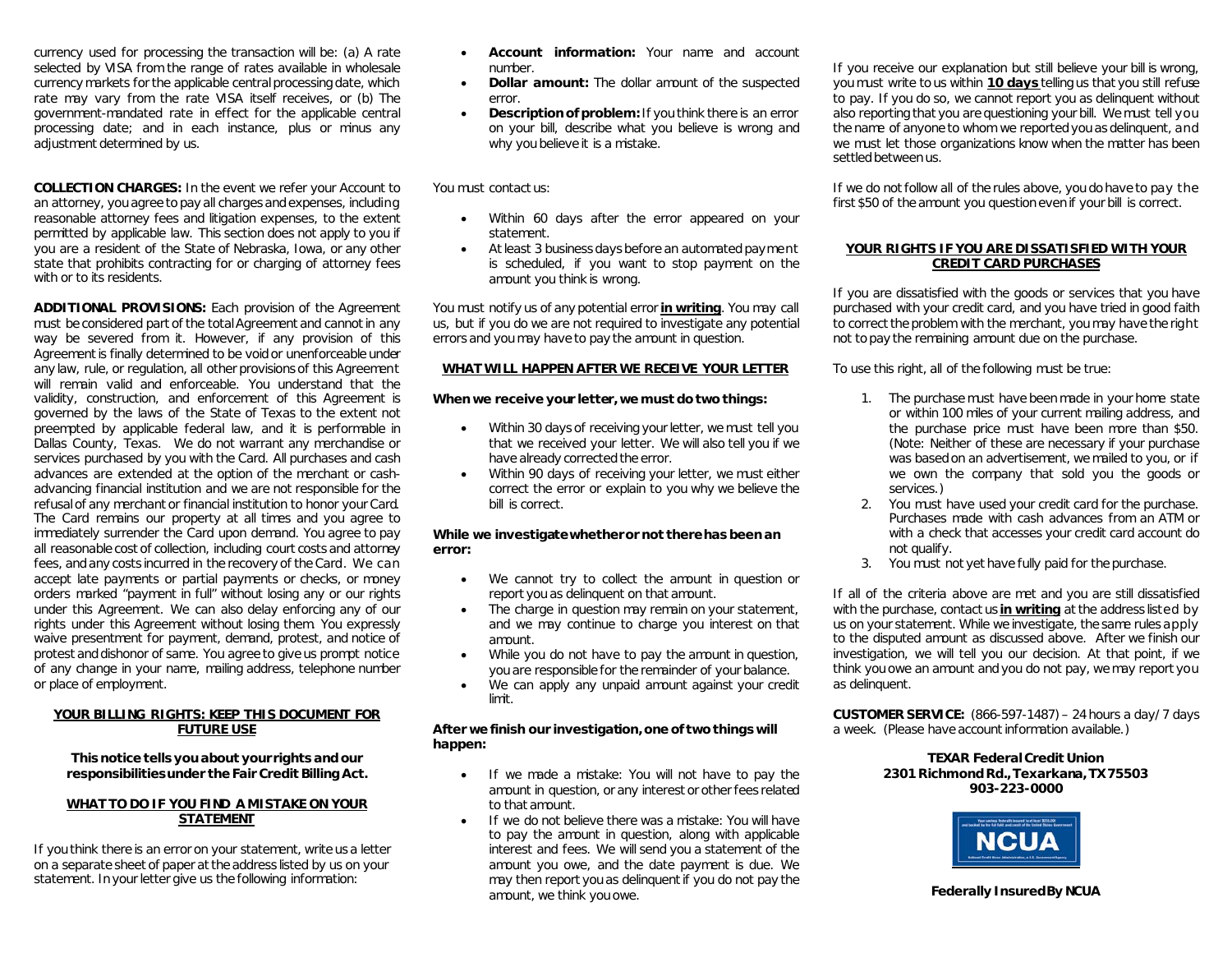currency used for processing the transaction will be: (a) A rate selected by VISA from the range of rates available in wholesale currency markets for the applicable central processing date, which rate may vary from the rate VISA itself receives, or (b) The government-mandated rate in effect for the applicable central processing date; and in each instance, plus or minus any adjustment determined by us.

**COLLECTION CHARGES:** In the event we refer your Account to an attorney, you agree to pay all charges and expenses, including reasonable attorney fees and litigation expenses, to the extent permitted by applicable law. This section does not apply to you if you are a resident of the State of Nebraska, Iowa, or any other state that prohibits contracting for or charging of attorney fees with or to its residents.

**ADDITIONAL PROVISIONS:** Each provision of the Agreement must be considered part of the total Agreement and cannot in any way be severed from it. However, if any provision of this Agreement is finally determined to be void or unenforceable under any law, rule, or regulation, all other provisions of this Agreement will remain valid and enforceable. You understand that the validity, construction, and enforcement of this Agreement is governed by the laws of the State of Texas to the extent not preempted by applicable federal law, and it is performable in Dallas County, Texas. We do not warrant any merchandise or services purchased by you with the Card. All purchases and cash advances are extended at the option of the merchant or cashadvancing financial institution and we are not responsible for the refusal of any merchant or financial institution to honor your Card. The Card remains our property at all times and you agree to immediately surrender the Card upon demand. You agree to pay all reasonable cost of collection, including court costs and attorney fees, and any costs incurred in the recovery of the Card. We can accept late payments or partial payments or checks, or money orders marked "payment in full" without losing any or our rights under this Agreement. We can also delay enforcing any of our rights under this Agreement without losing them. You expressly waive presentment for payment, demand, protest, and notice of protest and dishonor of same. You agree to give us prompt notice of any change in your name, mailing address, telephone number or place of employment.

#### **YOUR BILLING RIGHTS: KEEP THIS DOCUMENT FOR FUTURE USE**

**This notice tells you about your rights and our responsibilities under the Fair Credit Billing Act.**

#### **WHAT TO DO IF YOU FIND A MISTAKE ON YOUR STATEMENT**

If you think there is an error on your statement, write us a letter on a separate sheet of paper at the address listed by us on your statement. In your letter give us the following information:

- **Account information:** Your name and account number.
- **Dollar amount:** The dollar amount of the suspected error.
- **Description of problem:** If you think there is an error on your bill, describe what you believe is wrong and why you believe it is a mistake.

You must contact us:

- Within 60 days after the error appeared on your statement.
- At least 3 business days before an automated payment is scheduled, if you want to stop payment on the amount you think is wrong.

You must notify us of any potential error **in writing**. You may call us, but if you do we are not required to investigate any potential errors and you may have to pay the amount in question.

#### **WHAT WILL HAPPEN AFTER WE RECEIVE YOUR LETTER**

#### **When we receive your letter, we must do two things:**

- Within 30 days of receiving your letter, we must tell you that we received your letter. We will also tell you if we have already corrected the error.
- Within 90 days of receiving your letter, we must either correct the error or explain to you why we believe the bill is correct.

#### **While we investigate whether or not there has been an error:**

- We cannot try to collect the amount in question or report you as delinquent on that amount.
- The charge in question may remain on your statement, and we may continue to charge you interest on that amount.
- While you do not have to pay the amount in question, you are responsible for the remainder of your balance.
- We can apply any unpaid amount against your credit limit.

#### **After we finish our investigation, one of two things will happen:**

- If we made a mistake: You will not have to pay the amount in question, or any interest or other fees related to that amount.
- If we do not believe there was a mistake: You will have to pay the amount in question, along with applicable interest and fees. We will send you a statement of the amount you owe, and the date payment is due. We may then report you as delinquent if you do not pay the amount, we think you owe.

If you receive our explanation but still believe your bill is wrong, you must write to us within **10 days** telling us that you still refuse to pay. If you do so, we cannot report you as delinquent without also reporting that you are questioning your bill. We must tell you the name of anyone to whom we reported you as delinquent, and we must let those organizations know when the matter has been settled between us.

If we do not follow all of the rules above, you do have to pay the first \$50 of the amount you question even if your bill is correct.

#### **YOUR RIGHTS IF YOU ARE DISSATISFIED WITH YOUR CREDIT CARD PURCHASES**

If you are dissatisfied with the goods or services that you have purchased with your credit card, and you have tried in good faith to correct the problem with the merchant, you may have the right not to pay the remaining amount due on the purchase.

To use this right, all of the following must be true:

- 1. The purchase must have been made in your home state or within 100 miles of your current mailing address, and the purchase price must have been more than \$50. (Note: Neither of these are necessary if your purchase was based on an advertisement, we mailed to you, or if we own the company that sold you the goods or services.)
- 2. You must have used your credit card for the purchase. Purchases made with cash advances from an ATM or with a check that accesses your credit card account do not qualify.
- 3. You must not yet have fully paid for the purchase.

If all of the criteria above are met and you are still dissatisfied with the purchase, contact us **in writing** at the address listed by us on your statement. While we investigate, the same rules apply to the disputed amount as discussed above. After we finish our investigation, we will tell you our decision. At that point, if we think you owe an amount and you do not pay, we may report you as delinquent.

**CUSTOMER SERVICE:** (866-597-1487) – 24 hours a day/ 7 days a week. (Please have account information available.)

#### **TEXAR Federal Credit Union 2301 Richmond Rd., Texarkana, TX 75503 903-223-0000**

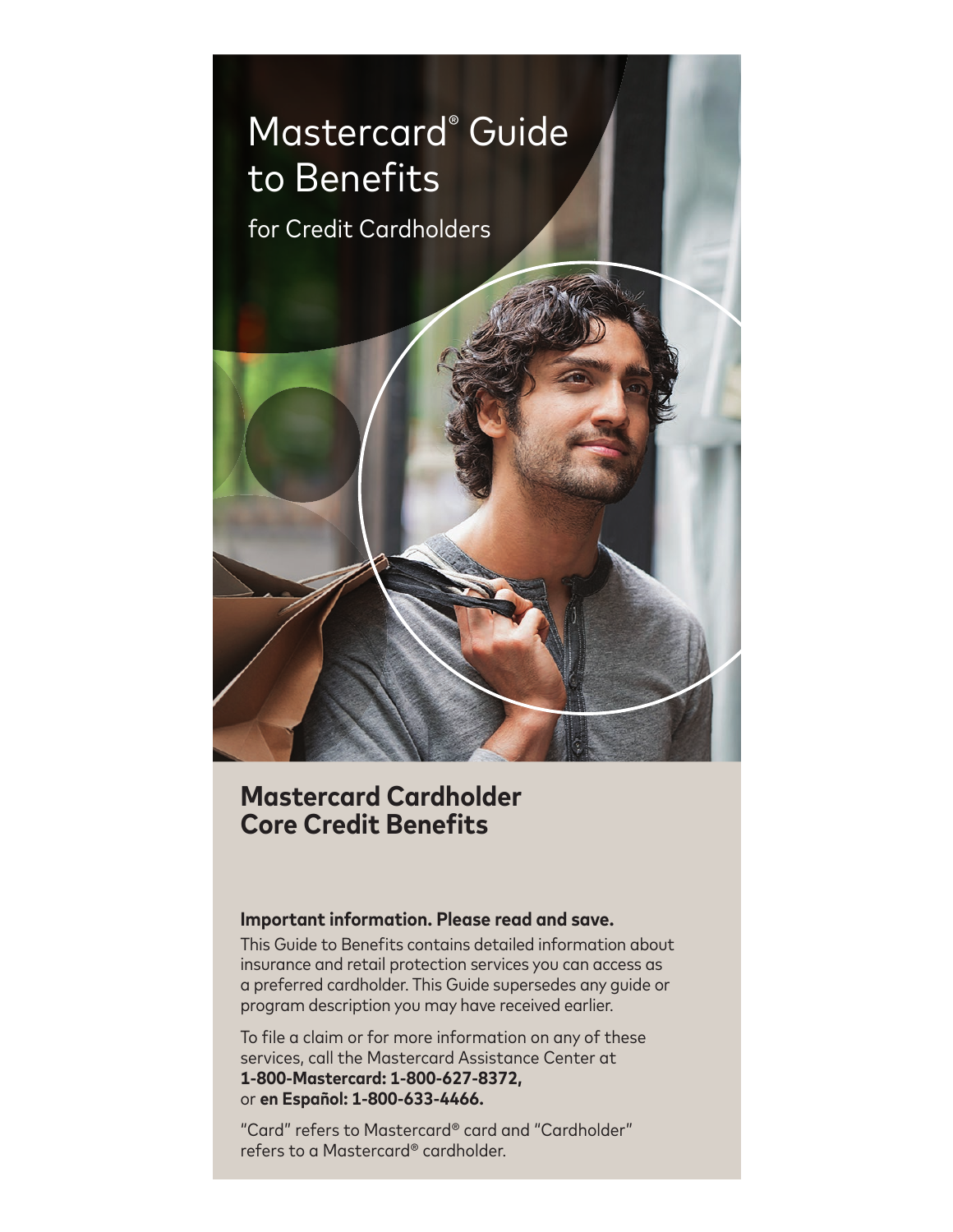

# **Mastercard Cardholder Core Credit Benefits**

# **Important information. Please read and save.**

This Guide to Benefits contains detailed information about insurance and retail protection services you can access as a preferred cardholder. This Guide supersedes any guide or program description you may have received earlier.

To file a claim or for more information on any of these services, call the Mastercard Assistance Center at **1-800-Mastercard: 1-800-627-8372,**  or **en Español: 1-800-633-4466.**

"Card" refers to Mastercard® card and "Cardholder" refers to a Mastercard® cardholder.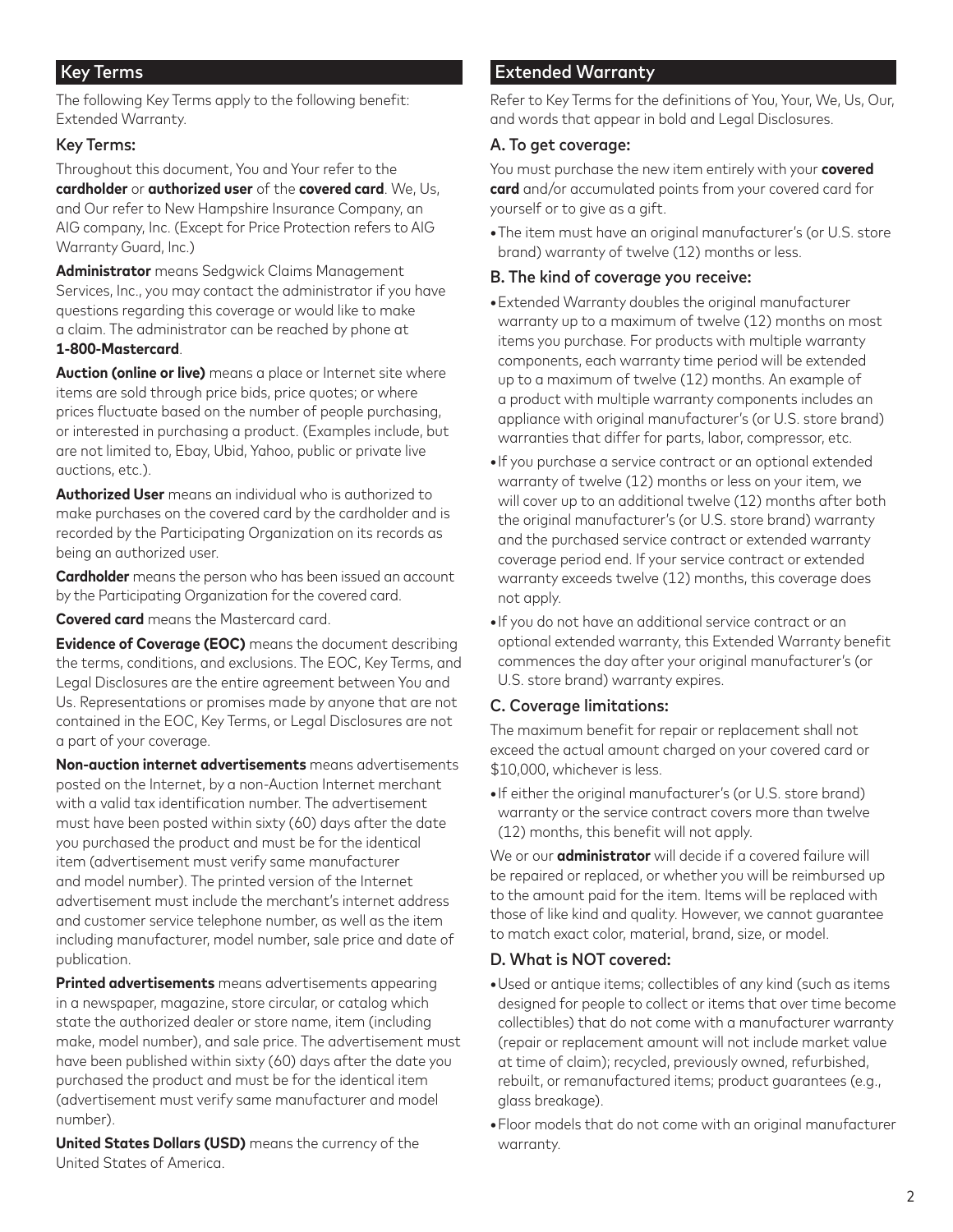# Key Terms

The following Key Terms apply to the following benefit: Extended Warranty.

### Key Terms:

Throughout this document, You and Your refer to the **cardholder** or **authorized user** of the **covered card**. We, Us, and Our refer to New Hampshire Insurance Company, an AIG company, Inc. (Except for Price Protection refers to AIG Warranty Guard, Inc.)

**Administrator** means Sedgwick Claims Management Services, Inc., you may contact the administrator if you have questions regarding this coverage or would like to make a claim. The administrator can be reached by phone at **1-800-Mastercard**.

**Auction (online or live)** means a place or Internet site where items are sold through price bids, price quotes; or where prices fluctuate based on the number of people purchasing, or interested in purchasing a product. (Examples include, but are not limited to, Ebay, Ubid, Yahoo, public or private live auctions, etc.).

**Authorized User** means an individual who is authorized to make purchases on the covered card by the cardholder and is recorded by the Participating Organization on its records as being an authorized user.

**Cardholder** means the person who has been issued an account by the Participating Organization for the covered card.

**Covered card** means the Mastercard card.

**Evidence of Coverage (EOC)** means the document describing the terms, conditions, and exclusions. The EOC, Key Terms, and Legal Disclosures are the entire agreement between You and Us. Representations or promises made by anyone that are not contained in the EOC, Key Terms, or Legal Disclosures are not a part of your coverage.

**Non-auction internet advertisements** means advertisements posted on the Internet, by a non-Auction Internet merchant with a valid tax identification number. The advertisement must have been posted within sixty (60) days after the date you purchased the product and must be for the identical item (advertisement must verify same manufacturer and model number). The printed version of the Internet advertisement must include the merchant's internet address and customer service telephone number, as well as the item including manufacturer, model number, sale price and date of publication.

**Printed advertisements** means advertisements appearing in a newspaper, magazine, store circular, or catalog which state the authorized dealer or store name, item (including make, model number), and sale price. The advertisement must have been published within sixty (60) days after the date you purchased the product and must be for the identical item (advertisement must verify same manufacturer and model number).

**United States Dollars (USD)** means the currency of the United States of America.

# Extended Warranty

Refer to Key Terms for the definitions of You, Your, We, Us, Our, and words that appear in bold and Legal Disclosures.

### A. To get coverage:

You must purchase the new item entirely with your **covered card** and/or accumulated points from your covered card for yourself or to give as a gift.

**•**The item must have an original manufacturer's (or U.S. store brand) warranty of twelve (12) months or less.

## B. The kind of coverage you receive:

- **•**Extended Warranty doubles the original manufacturer warranty up to a maximum of twelve (12) months on most items you purchase. For products with multiple warranty components, each warranty time period will be extended up to a maximum of twelve (12) months. An example of a product with multiple warranty components includes an appliance with original manufacturer's (or U.S. store brand) warranties that differ for parts, labor, compressor, etc.
- **•**If you purchase a service contract or an optional extended warranty of twelve (12) months or less on your item, we will cover up to an additional twelve (12) months after both the original manufacturer's (or U.S. store brand) warranty and the purchased service contract or extended warranty coverage period end. If your service contract or extended warranty exceeds twelve (12) months, this coverage does not apply.
- **•**If you do not have an additional service contract or an optional extended warranty, this Extended Warranty benefit commences the day after your original manufacturer's (or U.S. store brand) warranty expires.

# C. Coverage limitations:

The maximum benefit for repair or replacement shall not exceed the actual amount charged on your covered card or \$10,000, whichever is less.

**•**If either the original manufacturer's (or U.S. store brand) warranty or the service contract covers more than twelve (12) months, this benefit will not apply.

We or our **administrator** will decide if a covered failure will be repaired or replaced, or whether you will be reimbursed up to the amount paid for the item. Items will be replaced with those of like kind and quality. However, we cannot guarantee to match exact color, material, brand, size, or model.

# D. What is NOT covered:

- **•**Used or antique items; collectibles of any kind (such as items designed for people to collect or items that over time become collectibles) that do not come with a manufacturer warranty (repair or replacement amount will not include market value at time of claim); recycled, previously owned, refurbished, rebuilt, or remanufactured items; product guarantees (e.g., glass breakage).
- **•**Floor models that do not come with an original manufacturer warranty.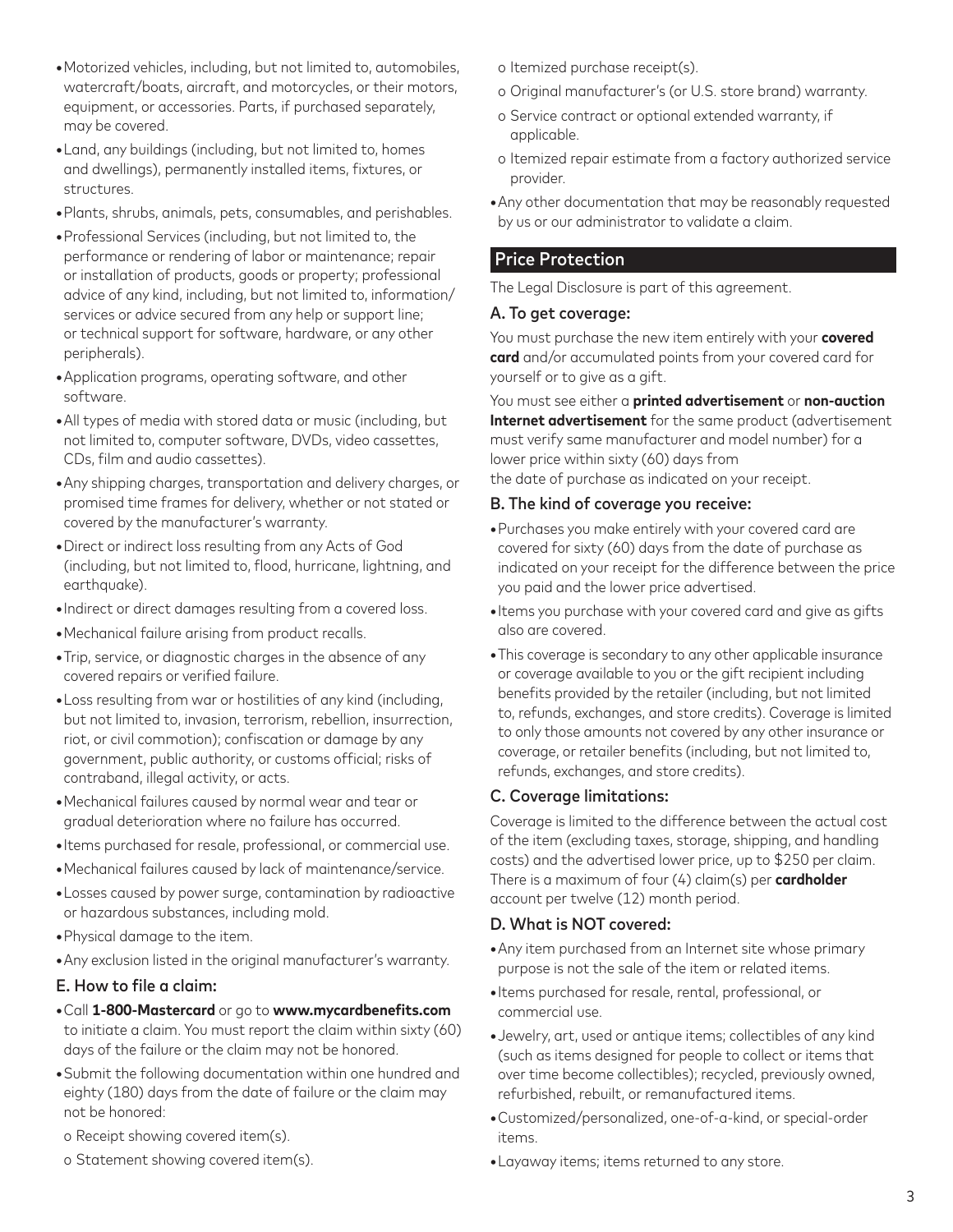- **•**Motorized vehicles, including, but not limited to, automobiles, watercraft/boats, aircraft, and motorcycles, or their motors, equipment, or accessories. Parts, if purchased separately, may be covered.
- **•**Land, any buildings (including, but not limited to, homes and dwellings), permanently installed items, fixtures, or structures.
- **•**Plants, shrubs, animals, pets, consumables, and perishables.
- **•**Professional Services (including, but not limited to, the performance or rendering of labor or maintenance; repair or installation of products, goods or property; professional advice of any kind, including, but not limited to, information/ services or advice secured from any help or support line; or technical support for software, hardware, or any other peripherals).
- **•**Application programs, operating software, and other software.
- **•**All types of media with stored data or music (including, but not limited to, computer software, DVDs, video cassettes, CDs, film and audio cassettes).
- **•**Any shipping charges, transportation and delivery charges, or promised time frames for delivery, whether or not stated or covered by the manufacturer's warranty.
- **•**Direct or indirect loss resulting from any Acts of God (including, but not limited to, flood, hurricane, lightning, and earthauake).
- **•**Indirect or direct damages resulting from a covered loss.
- **•**Mechanical failure arising from product recalls.
- **•**Trip, service, or diagnostic charges in the absence of any covered repairs or verified failure.
- **•**Loss resulting from war or hostilities of any kind (including, but not limited to, invasion, terrorism, rebellion, insurrection, riot, or civil commotion); confiscation or damage by any government, public authority, or customs official; risks of contraband, illegal activity, or acts.
- **•**Mechanical failures caused by normal wear and tear or gradual deterioration where no failure has occurred.
- **•**Items purchased for resale, professional, or commercial use.
- **•**Mechanical failures caused by lack of maintenance/service.
- **•**Losses caused by power surge, contamination by radioactive or hazardous substances, including mold.
- **•**Physical damage to the item.
- **•**Any exclusion listed in the original manufacturer's warranty.

### E. How to file a claim:

- **•**Call **1-800-Mastercard** or go to **www.mycardbenefits.com** to initiate a claim. You must report the claim within sixty (60) days of the failure or the claim may not be honored.
- **•**Submit the following documentation within one hundred and eighty (180) days from the date of failure or the claim may not be honored:
- o Receipt showing covered item(s).
- o Statement showing covered item(s).
- o Itemized purchase receipt(s).
- o Original manufacturer's (or U.S. store brand) warranty.
- o Service contract or optional extended warranty, if applicable.
- o Itemized repair estimate from a factory authorized service provider.
- **•**Any other documentation that may be reasonably requested by us or our administrator to validate a claim.

# Price Protection

The Legal Disclosure is part of this agreement.

### A. To get coverage:

You must purchase the new item entirely with your **covered card** and/or accumulated points from your covered card for yourself or to give as a gift.

You must see either a **printed advertisement** or **non-auction Internet advertisement** for the same product (advertisement must verify same manufacturer and model number) for a lower price within sixty (60) days from the date of purchase as indicated on your receipt.

### B. The kind of coverage you receive:

- **•**Purchases you make entirely with your covered card are covered for sixty (60) days from the date of purchase as indicated on your receipt for the difference between the price you paid and the lower price advertised.
- **•**Items you purchase with your covered card and give as gifts also are covered.
- **•**This coverage is secondary to any other applicable insurance or coverage available to you or the gift recipient including benefits provided by the retailer (including, but not limited to, refunds, exchanges, and store credits). Coverage is limited to only those amounts not covered by any other insurance or coverage, or retailer benefits (including, but not limited to, refunds, exchanges, and store credits).

# C. Coverage limitations:

Coverage is limited to the difference between the actual cost of the item (excluding taxes, storage, shipping, and handling costs) and the advertised lower price, up to \$250 per claim. There is a maximum of four (4) claim(s) per **cardholder** account per twelve (12) month period.

# D. What is NOT covered:

- **•**Any item purchased from an Internet site whose primary purpose is not the sale of the item or related items.
- **•**Items purchased for resale, rental, professional, or commercial use.
- **•**Jewelry, art, used or antique items; collectibles of any kind (such as items designed for people to collect or items that over time become collectibles); recycled, previously owned, refurbished, rebuilt, or remanufactured items.
- **•**Customized/personalized, one-of-a-kind, or special-order items.
- **•**Layaway items; items returned to any store.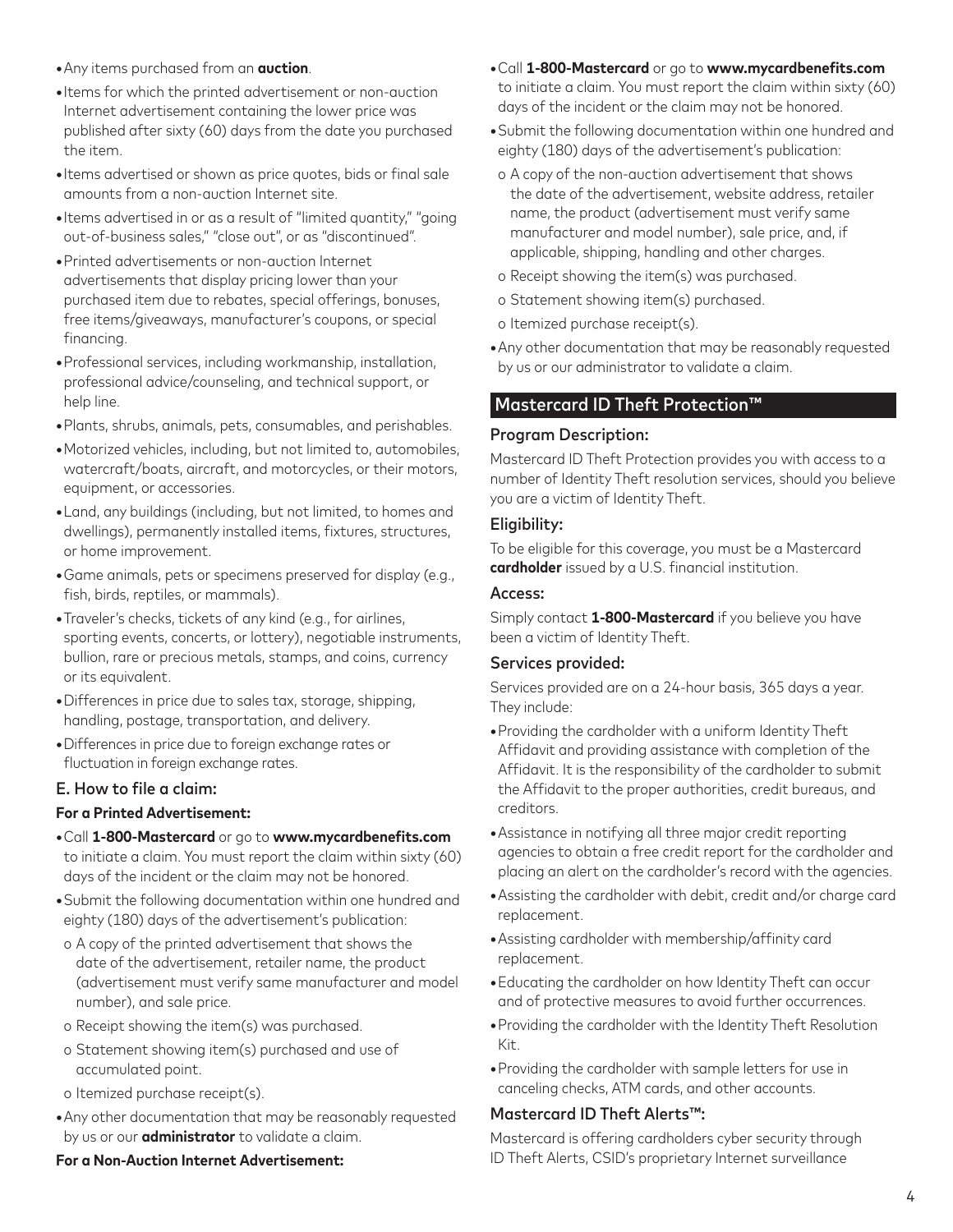- **•**Any items purchased from an **auction**.
- **•**Items for which the printed advertisement or non-auction Internet advertisement containing the lower price was published after sixty (60) days from the date you purchased the item.
- **•**Items advertised or shown as price quotes, bids or final sale amounts from a non-auction Internet site.
- **•**Items advertised in or as a result of "limited quantity," "going out-of-business sales," "close out", or as "discontinued".
- **•**Printed advertisements or non-auction Internet advertisements that display pricing lower than your purchased item due to rebates, special offerings, bonuses, free items/giveaways, manufacturer's coupons, or special financing.
- **•**Professional services, including workmanship, installation, professional advice/counseling, and technical support, or help line.
- **•**Plants, shrubs, animals, pets, consumables, and perishables.
- **•**Motorized vehicles, including, but not limited to, automobiles, watercraft/boats, aircraft, and motorcycles, or their motors, equipment, or accessories.
- **•**Land, any buildings (including, but not limited, to homes and dwellings), permanently installed items, fixtures, structures, or home improvement.
- **•**Game animals, pets or specimens preserved for display (e.g., fish, birds, reptiles, or mammals).
- **•**Traveler's checks, tickets of any kind (e.g., for airlines, sporting events, concerts, or lottery), negotiable instruments, bullion, rare or precious metals, stamps, and coins, currency or its equivalent.
- **•**Differences in price due to sales tax, storage, shipping, handling, postage, transportation, and delivery.
- **•**Differences in price due to foreign exchange rates or fluctuation in foreign exchange rates.

### E. How to file a claim:

### **For a Printed Advertisement:**

- **•**Call **1-800-Mastercard** or go to **www.mycardbenefits.com** to initiate a claim. You must report the claim within sixty (60) days of the incident or the claim may not be honored.
- **•**Submit the following documentation within one hundred and eighty (180) days of the advertisement's publication:
- o A copy of the printed advertisement that shows the date of the advertisement, retailer name, the product (advertisement must verify same manufacturer and model number), and sale price.
- o Receipt showing the item(s) was purchased.
- o Statement showing item(s) purchased and use of accumulated point.
- o Itemized purchase receipt(s).
- **•**Any other documentation that may be reasonably requested by us or our **administrator** to validate a claim.

### **For a Non-Auction Internet Advertisement:**

- **•**Call **1-800-Mastercard** or go to **www.mycardbenefits.com** to initiate a claim. You must report the claim within sixty (60) days of the incident or the claim may not be honored.
- **•**Submit the following documentation within one hundred and eighty (180) days of the advertisement's publication:
- o A copy of the non-auction advertisement that shows the date of the advertisement, website address, retailer name, the product (advertisement must verify same manufacturer and model number), sale price, and, if applicable, shipping, handling and other charges.
- o Receipt showing the item(s) was purchased.
- o Statement showing item(s) purchased.
- o Itemized purchase receipt(s).
- **•**Any other documentation that may be reasonably requested by us or our administrator to validate a claim.

# Mastercard ID Theft Protection™

### Program Description:

Mastercard ID Theft Protection provides you with access to a number of Identity Theft resolution services, should you believe you are a victim of Identity Theft.

### Eligibility:

To be eligible for this coverage, you must be a Mastercard **cardholder** issued by a U.S. financial institution.

#### Access:

Simply contact **1-800-Mastercard** if you believe you have been a victim of Identity Theft.

### Services provided:

Services provided are on a 24-hour basis, 365 days a year. They include:

- **•**Providing the cardholder with a uniform Identity Theft Affidavit and providing assistance with completion of the Affidavit. It is the responsibility of the cardholder to submit the Affidavit to the proper authorities, credit bureaus, and creditors.
- **•**Assistance in notifying all three major credit reporting agencies to obtain a free credit report for the cardholder and placing an alert on the cardholder's record with the agencies.
- **•**Assisting the cardholder with debit, credit and/or charge card replacement.
- **•**Assisting cardholder with membership/affinity card replacement.
- **•**Educating the cardholder on how Identity Theft can occur and of protective measures to avoid further occurrences.
- **•**Providing the cardholder with the Identity Theft Resolution Kit.
- **•**Providing the cardholder with sample letters for use in canceling checks, ATM cards, and other accounts.

# Mastercard ID Theft Alerts™:

Mastercard is offering cardholders cyber security through ID Theft Alerts, CSID's proprietary Internet surveillance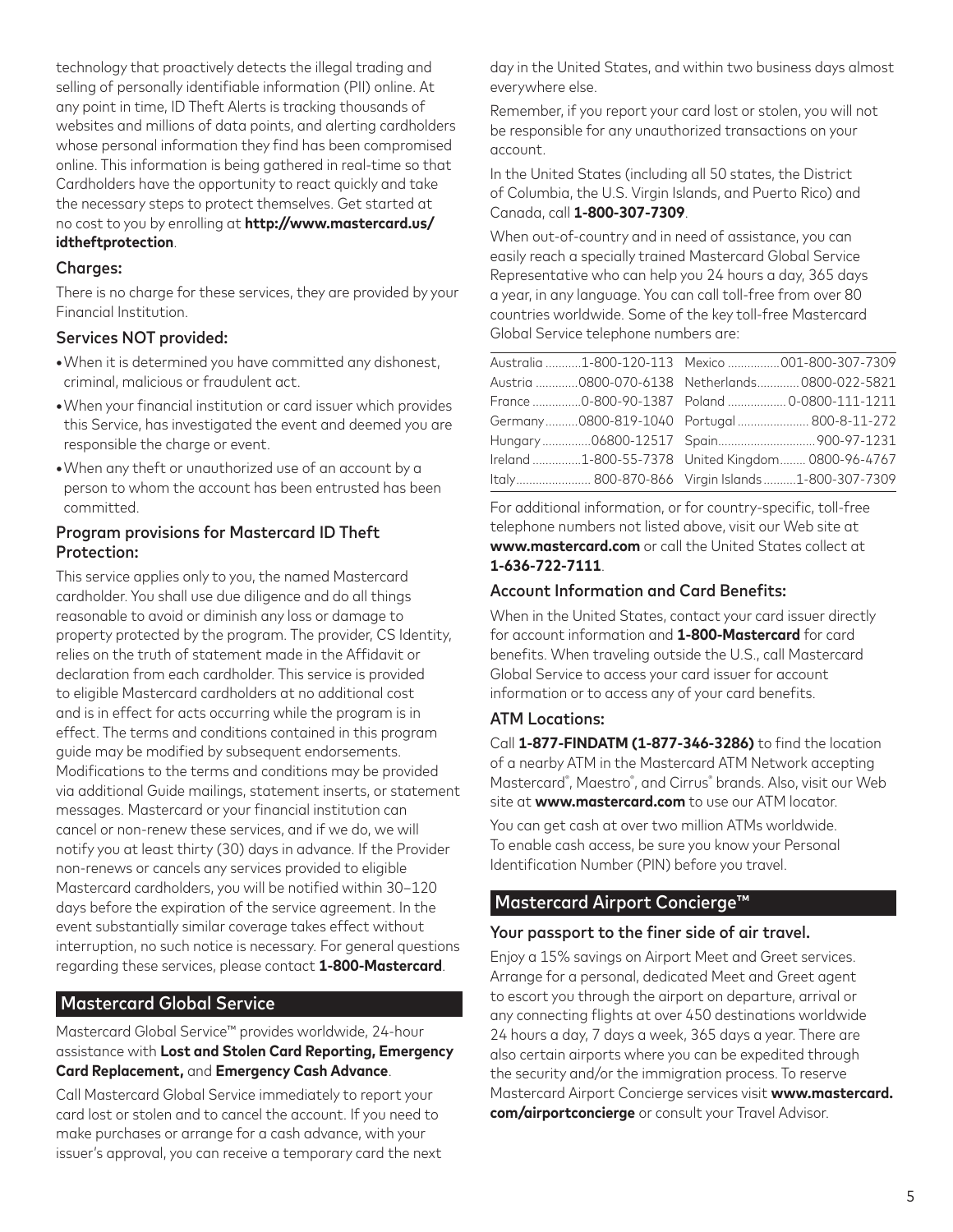technology that proactively detects the illegal trading and selling of personally identifiable information (PII) online. At any point in time, ID Theft Alerts is tracking thousands of websites and millions of data points, and alerting cardholders whose personal information they find has been compromised online. This information is being gathered in real-time so that Cardholders have the opportunity to react quickly and take the necessary steps to protect themselves. Get started at no cost to you by enrolling at **http://www.mastercard.us/ idtheftprotection**.

### Charges:

There is no charge for these services, they are provided by your Financial Institution.

# Services NOT provided:

- **•**When it is determined you have committed any dishonest, criminal, malicious or fraudulent act.
- **•**When your financial institution or card issuer which provides this Service, has investigated the event and deemed you are responsible the charge or event.
- **•**When any theft or unauthorized use of an account by a person to whom the account has been entrusted has been committed.

### Program provisions for Mastercard ID Theft Protection:

This service applies only to you, the named Mastercard cardholder. You shall use due diligence and do all things reasonable to avoid or diminish any loss or damage to property protected by the program. The provider, CS Identity, relies on the truth of statement made in the Affidavit or declaration from each cardholder. This service is provided to eligible Mastercard cardholders at no additional cost and is in effect for acts occurring while the program is in effect. The terms and conditions contained in this program guide may be modified by subsequent endorsements. Modifications to the terms and conditions may be provided via additional Guide mailings, statement inserts, or statement messages. Mastercard or your financial institution can cancel or non-renew these services, and if we do, we will notify you at least thirty (30) days in advance. If the Provider non-renews or cancels any services provided to eligible Mastercard cardholders, you will be notified within 30–120 days before the expiration of the service agreement. In the event substantially similar coverage takes effect without interruption, no such notice is necessary. For general questions regarding these services, please contact **1-800-Mastercard**.

# Mastercard Global Service

Mastercard Global Service™ provides worldwide, 24-hour assistance with **Lost and Stolen Card Reporting, Emergency Card Replacement,** and **Emergency Cash Advance**.

Call Mastercard Global Service immediately to report your card lost or stolen and to cancel the account. If you need to make purchases or arrange for a cash advance, with your issuer's approval, you can receive a temporary card the next day in the United States, and within two business days almost everywhere else.

Remember, if you report your card lost or stolen, you will not be responsible for any unauthorized transactions on your account.

In the United States (including all 50 states, the District of Columbia, the U.S. Virgin Islands, and Puerto Rico) and Canada, call **1-800-307-7309**.

When out-of-country and in need of assistance, you can easily reach a specially trained Mastercard Global Service Representative who can help you 24 hours a day, 365 days a year, in any language. You can call toll-free from over 80 countries worldwide. Some of the key toll-free Mastercard Global Service telephone numbers are:

|  | Australia 1-800-120-113  Mexico 001-800-307-7309   |
|--|----------------------------------------------------|
|  | Austria 0800-070-6138    Netherlands 0800-022-5821 |
|  | France 0-800-90-1387    Poland     0-0800-111-1211 |
|  | Germany0800-819-1040 Portugal 800-8-11-272         |
|  |                                                    |
|  | Ireland 1-800-55-7378 United Kingdom 0800-96-4767  |
|  | Italy 800-870-866 Virgin Islands1-800-307-7309     |
|  |                                                    |

For additional information, or for country-specific, toll-free telephone numbers not listed above, visit our Web site at **www.mastercard.com** or call the United States collect at **1-636-722-7111**.

### Account Information and Card Benefits:

When in the United States, contact your card issuer directly for account information and **1-800-Mastercard** for card benefits. When traveling outside the U.S., call Mastercard Global Service to access your card issuer for account information or to access any of your card benefits.

# ATM Locations:

Call **1-877-FINDATM (1-877-346-3286)** to find the location of a nearby ATM in the Mastercard ATM Network accepting Mastercard® , Maestro® , and Cirrus® brands. Also, visit our Web site at **www.mastercard.com** to use our ATM locator. You can get cash at over two million ATMs worldwide.

To enable cash access, be sure you know your Personal Identification Number (PIN) before you travel.

# Mastercard Airport Concierge™

### Your passport to the finer side of air travel.

Enjoy a 15% savings on Airport Meet and Greet services. Arrange for a personal, dedicated Meet and Greet agent to escort you through the airport on departure, arrival or any connecting flights at over 450 destinations worldwide 24 hours a day, 7 days a week, 365 days a year. There are also certain airports where you can be expedited through the security and/or the immigration process. To reserve Mastercard Airport Concierge services visit **www.mastercard. com/airportconcierge** or consult your Travel Advisor.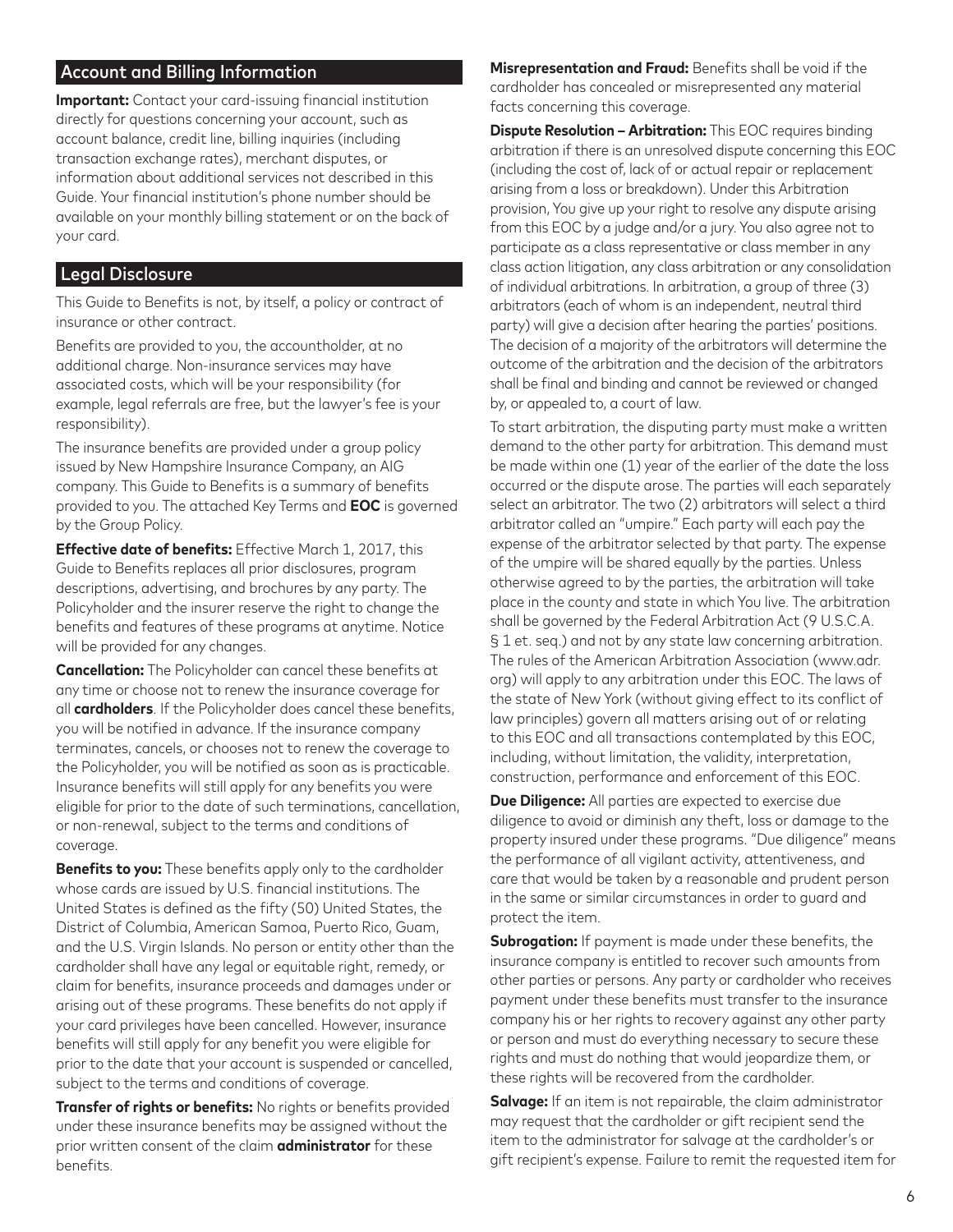# Account and Billing Information

**Important:** Contact your card-issuing financial institution directly for questions concerning your account, such as account balance, credit line, billing inquiries (including transaction exchange rates), merchant disputes, or information about additional services not described in this Guide. Your financial institution's phone number should be available on your monthly billing statement or on the back of your card.

## Legal Disclosure

This Guide to Benefits is not, by itself, a policy or contract of insurance or other contract.

Benefits are provided to you, the accountholder, at no additional charge. Non-insurance services may have associated costs, which will be your responsibility (for example, legal referrals are free, but the lawyer's fee is your responsibility).

The insurance benefits are provided under a group policy issued by New Hampshire Insurance Company, an AIG company. This Guide to Benefits is a summary of benefits provided to you. The attached Key Terms and **EOC** is governed by the Group Policy.

**Effective date of benefits:** Effective March 1, 2017, this Guide to Benefits replaces all prior disclosures, program descriptions, advertising, and brochures by any party. The Policyholder and the insurer reserve the right to change the benefits and features of these programs at anytime. Notice will be provided for any changes.

**Cancellation:** The Policyholder can cancel these benefits at any time or choose not to renew the insurance coverage for all **cardholders**. If the Policyholder does cancel these benefits, you will be notified in advance. If the insurance company terminates, cancels, or chooses not to renew the coverage to the Policyholder, you will be notified as soon as is practicable. Insurance benefits will still apply for any benefits you were eligible for prior to the date of such terminations, cancellation, or non-renewal, subject to the terms and conditions of coverage.

**Benefits to you:** These benefits apply only to the cardholder whose cards are issued by U.S. financial institutions. The United States is defined as the fifty (50) United States, the District of Columbia, American Samoa, Puerto Rico, Guam, and the U.S. Virgin Islands. No person or entity other than the cardholder shall have any legal or equitable right, remedy, or claim for benefits, insurance proceeds and damages under or arising out of these programs. These benefits do not apply if your card privileges have been cancelled. However, insurance benefits will still apply for any benefit you were eligible for prior to the date that your account is suspended or cancelled, subject to the terms and conditions of coverage.

**Transfer of rights or benefits:** No rights or benefits provided under these insurance benefits may be assigned without the prior written consent of the claim **administrator** for these benefits.

**Misrepresentation and Fraud:** Benefits shall be void if the cardholder has concealed or misrepresented any material facts concerning this coverage.

**Dispute Resolution – Arbitration:** This EOC requires binding arbitration if there is an unresolved dispute concerning this EOC (including the cost of, lack of or actual repair or replacement arising from a loss or breakdown). Under this Arbitration provision, You give up your right to resolve any dispute arising from this EOC by a judge and/or a jury. You also agree not to participate as a class representative or class member in any class action litigation, any class arbitration or any consolidation of individual arbitrations. In arbitration, a group of three (3) arbitrators (each of whom is an independent, neutral third party) will give a decision after hearing the parties' positions. The decision of a majority of the arbitrators will determine the outcome of the arbitration and the decision of the arbitrators shall be final and binding and cannot be reviewed or changed by, or appealed to, a court of law.

To start arbitration, the disputing party must make a written demand to the other party for arbitration. This demand must be made within one (1) year of the earlier of the date the loss occurred or the dispute arose. The parties will each separately select an arbitrator. The two (2) arbitrators will select a third arbitrator called an "umpire." Each party will each pay the expense of the arbitrator selected by that party. The expense of the umpire will be shared equally by the parties. Unless otherwise agreed to by the parties, the arbitration will take place in the county and state in which You live. The arbitration shall be governed by the Federal Arbitration Act (9 U.S.C.A. § 1 et. seq.) and not by any state law concerning arbitration. The rules of the American Arbitration Association (www.adr. org) will apply to any arbitration under this EOC. The laws of the state of New York (without giving effect to its conflict of law principles) govern all matters arising out of or relating to this EOC and all transactions contemplated by this EOC, including, without limitation, the validity, interpretation, construction, performance and enforcement of this EOC.

**Due Diligence:** All parties are expected to exercise due diligence to avoid or diminish any theft, loss or damage to the property insured under these programs. "Due diligence" means the performance of all vigilant activity, attentiveness, and care that would be taken by a reasonable and prudent person in the same or similar circumstances in order to guard and protect the item.

**Subrogation:** If payment is made under these benefits, the insurance company is entitled to recover such amounts from other parties or persons. Any party or cardholder who receives payment under these benefits must transfer to the insurance company his or her rights to recovery against any other party or person and must do everything necessary to secure these rights and must do nothing that would jeopardize them, or these rights will be recovered from the cardholder.

**Salvage:** If an item is not repairable, the claim administrator may request that the cardholder or gift recipient send the item to the administrator for salvage at the cardholder's or gift recipient's expense. Failure to remit the requested item for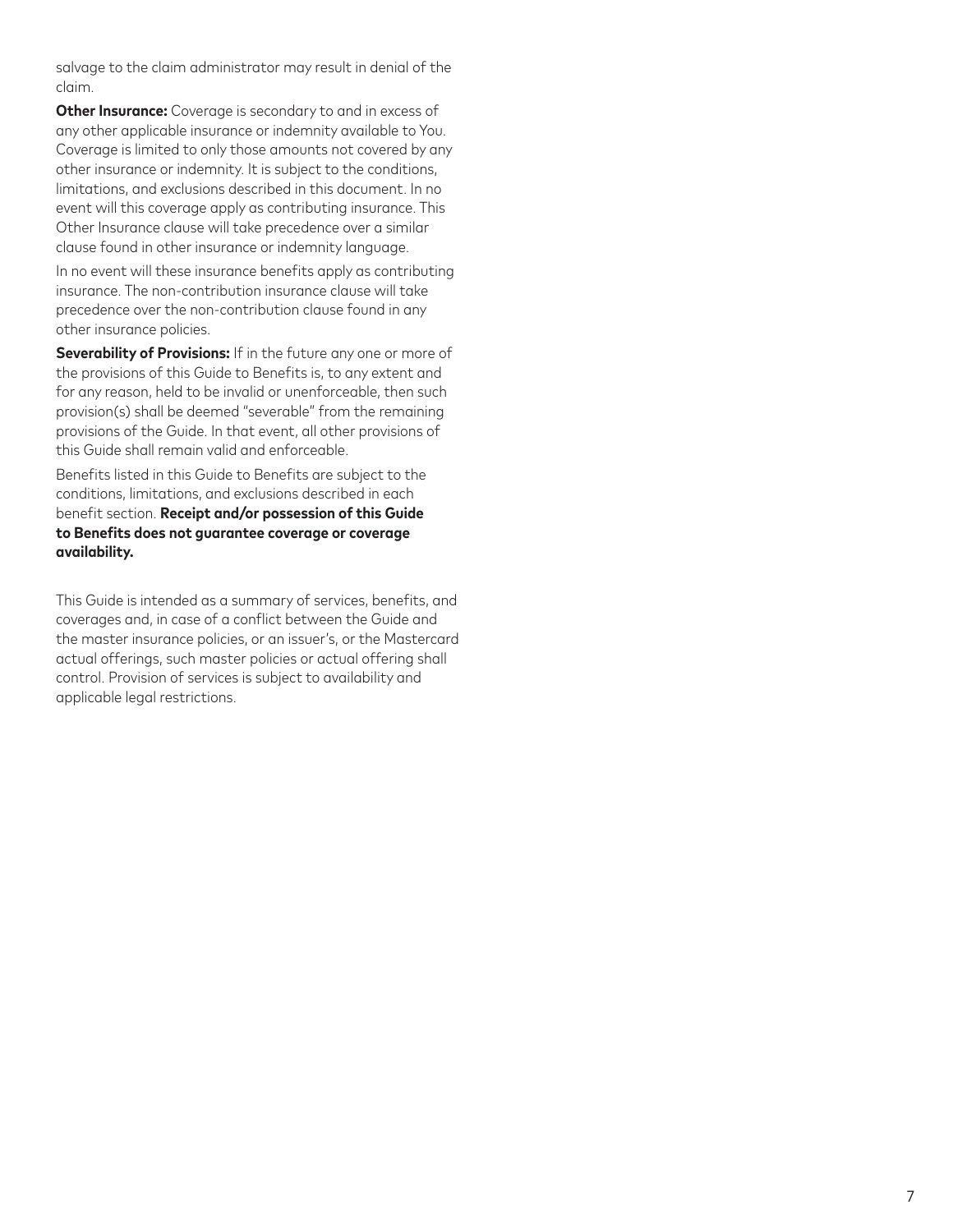salvage to the claim administrator may result in denial of the claim.

**Other Insurance:** Coverage is secondary to and in excess of any other applicable insurance or indemnity available to You. Coverage is limited to only those amounts not covered by any other insurance or indemnity. It is subject to the conditions, limitations, and exclusions described in this document. In no event will this coverage apply as contributing insurance. This Other Insurance clause will take precedence over a similar clause found in other insurance or indemnity language.

In no event will these insurance benefits apply as contributing insurance. The non-contribution insurance clause will take precedence over the non-contribution clause found in any other insurance policies.

**Severability of Provisions:** If in the future any one or more of the provisions of this Guide to Benefits is, to any extent and for any reason, held to be invalid or unenforceable, then such provision(s) shall be deemed "severable" from the remaining provisions of the Guide. In that event, all other provisions of this Guide shall remain valid and enforceable.

Benefits listed in this Guide to Benefits are subject to the conditions, limitations, and exclusions described in each benefit section. **Receipt and/or possession of this Guide to Benefits does not guarantee coverage or coverage availability.**

This Guide is intended as a summary of services, benefits, and coverages and, in case of a conflict between the Guide and the master insurance policies, or an issuer's, or the Mastercard actual offerings, such master policies or actual offering shall control. Provision of services is subject to availability and applicable legal restrictions.